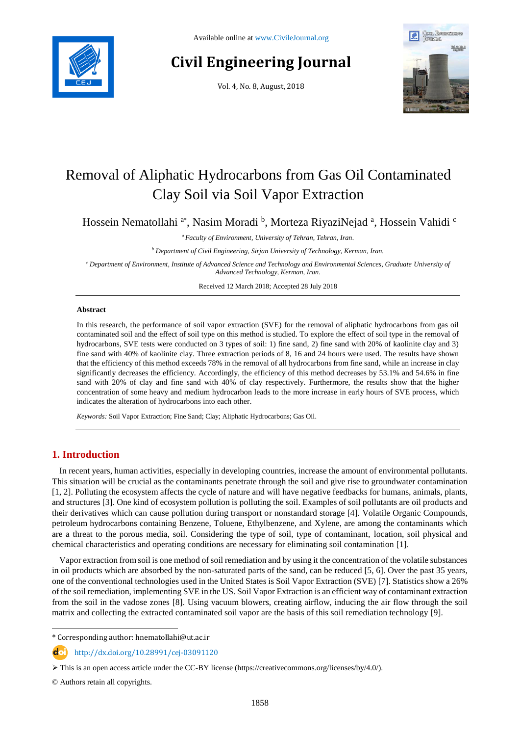

# **Civil Engineering Journal**

Vol. 4, No. 8, August, 2018



# Removal of Aliphatic Hydrocarbons from Gas Oil Contaminated Clay Soil via Soil Vapor Extraction

Hossein Nematollahi <sup>a\*</sup>, Nasim Moradi <sup>b</sup>, Morteza RiyaziNejad <sup>a</sup>, Hossein Vahidi <sup>c</sup>

*<sup>a</sup> Faculty of Environment, University of Tehran, Tehran, Iran.*

*<sup>b</sup> Department of Civil Engineering, Sirjan University of Technology, Kerman, Iran.*

*<sup>c</sup> Department of Environment, Institute of Advanced Science and Technology and Environmental Sciences, Graduate University of Advanced Technology, Kerman, Iran.*

Received 12 March 2018; Accepted 28 July 2018

## **Abstract**

In this research, the performance of soil vapor extraction (SVE) for the removal of aliphatic hydrocarbons from gas oil contaminated soil and the effect of soil type on this method is studied. To explore the effect of soil type in the removal of hydrocarbons, SVE tests were conducted on 3 types of soil: 1) fine sand, 2) fine sand with 20% of kaolinite clay and 3) fine sand with 40% of kaolinite clay. Three extraction periods of 8, 16 and 24 hours were used. The results have shown that the efficiency of this method exceeds 78% in the removal of all hydrocarbons from fine sand, while an increase in clay significantly decreases the efficiency. Accordingly, the efficiency of this method decreases by 53.1% and 54.6% in fine sand with 20% of clay and fine sand with 40% of clay respectively. Furthermore, the results show that the higher concentration of some heavy and medium hydrocarbon leads to the more increase in early hours of SVE process, which indicates the alteration of hydrocarbons into each other.

*Keywords:* Soil Vapor Extraction; Fine Sand; Clay; Aliphatic Hydrocarbons; Gas Oil.

# **1. Introduction**

In recent years, human activities, especially in developing countries, increase the amount of environmental pollutants. This situation will be crucial as the contaminants penetrate through the soil and give rise to groundwater contamination [1, 2]. Polluting the ecosystem affects the cycle of nature and will have negative feedbacks for humans, animals, plants, and structures [3]. One kind of ecosystem pollution is polluting the soil. Examples of soil pollutants are oil products and their derivatives which can cause pollution during transport or nonstandard storage [4]. Volatile Organic Compounds, petroleum hydrocarbons containing Benzene, Toluene, Ethylbenzene, and Xylene, are among the contaminants which are a threat to the porous media, soil. Considering the type of soil, type of contaminant, location, soil physical and chemical characteristics and operating conditions are necessary for eliminating soil contamination [1].

Vapor extraction from soil is one method of soil remediation and by using it the concentration of the volatile substances in oil products which are absorbed by the non-saturated parts of the sand, can be reduced [5, 6]. Over the past 35 years, one of the conventional technologies used in the United States is Soil Vapor Extraction (SVE) [7]. Statistics show a 26% of the soil remediation, implementing SVE in the US. Soil Vapor Extraction is an efficient way of contaminant extraction from the soil in the vadose zones [8]. Using vacuum blowers, creating airflow, inducing the air flow through the soil matrix and collecting the extracted contaminated soil vapor are the basis of this soil remediation technology [9].

l \* Corresponding author: hnematollahi@ut.ac.ir

http://dx.doi.org/10.28991/cej-03091120

© Authors retain all copyrights.

This is an open access article under the CC-BY license [\(https://creativecommons.org/licenses/by/4.0/\)](https://creativecommons.org/licenses/by/4.0/).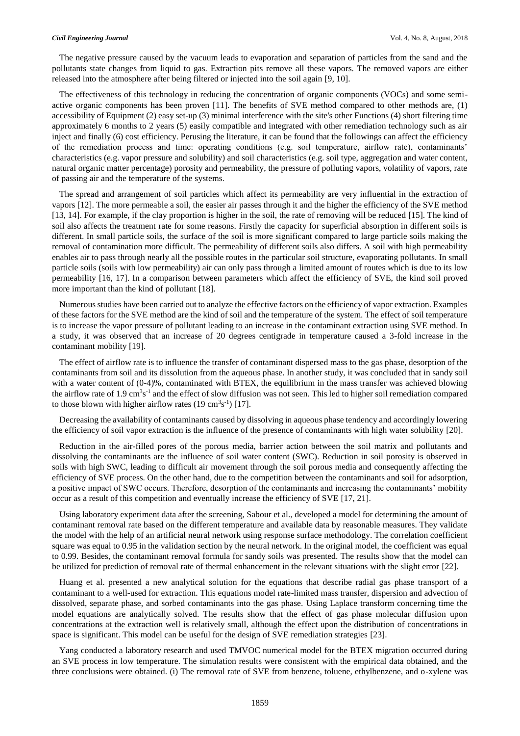The negative pressure caused by the vacuum leads to evaporation and separation of particles from the sand and the pollutants state changes from liquid to gas. Extraction pits remove all these vapors. The removed vapors are either released into the atmosphere after being filtered or injected into the soil again [9, 10].

The effectiveness of this technology in reducing the concentration of organic components (VOCs) and some semiactive organic components has been proven [11]. The benefits of SVE method compared to other methods are, (1) accessibility of Equipment (2) easy set-up (3) minimal interference with the site's other Functions (4) short filtering time approximately 6 months to 2 years (5) easily compatible and integrated with other remediation technology such as air inject and finally (6) cost efficiency. Perusing the literature, it can be found that the followings can affect the efficiency of the remediation process and time: operating conditions (e.g. soil temperature, airflow rate), contaminants' characteristics (e.g. vapor pressure and solubility) and soil characteristics (e.g. soil type, aggregation and water content, natural organic matter percentage) porosity and permeability, the pressure of polluting vapors, volatility of vapors, rate of passing air and the temperature of the systems.

The spread and arrangement of soil particles which affect its permeability are very influential in the extraction of vapors [12]. The more permeable a soil, the easier air passes through it and the higher the efficiency of the SVE method [13, 14]. For example, if the clay proportion is higher in the soil, the rate of removing will be reduced [15]. The kind of soil also affects the treatment rate for some reasons. Firstly the capacity for superficial absorption in different soils is different. In small particle soils, the surface of the soil is more significant compared to large particle soils making the removal of contamination more difficult. The permeability of different soils also differs. A soil with high permeability enables air to pass through nearly all the possible routes in the particular soil structure, evaporating pollutants. In small particle soils (soils with low permeability) air can only pass through a limited amount of routes which is due to its low permeability [16, 17]. In a comparison between parameters which affect the efficiency of SVE, the kind soil proved more important than the kind of pollutant [18].

Numerous studies have been carried out to analyze the effective factors on the efficiency of vapor extraction. Examples of these factors for the SVE method are the kind of soil and the temperature of the system. The effect of soil temperature is to increase the vapor pressure of pollutant leading to an increase in the contaminant extraction using SVE method. In a study, it was observed that an increase of 20 degrees centigrade in temperature caused a 3-fold increase in the contaminant mobility [19].

The effect of airflow rate is to influence the transfer of contaminant dispersed mass to the gas phase, desorption of the contaminants from soil and its dissolution from the aqueous phase. In another study, it was concluded that in sandy soil with a water content of  $(0-4)$ %, contaminated with BTEX, the equilibrium in the mass transfer was achieved blowing the airflow rate of 1.9 cm<sup>3</sup>s<sup>-1</sup> and the effect of slow diffusion was not seen. This led to higher soil remediation compared to those blown with higher airflow rates  $(19 \text{ cm}^3 \text{s}^{-1})$  [17].

Decreasing the availability of contaminants caused by dissolving in aqueous phase tendency and accordingly lowering the efficiency of soil vapor extraction is the influence of the presence of contaminants with high water solubility [20].

Reduction in the air-filled pores of the porous media, barrier action between the soil matrix and pollutants and dissolving the contaminants are the influence of soil water content (SWC). Reduction in soil porosity is observed in soils with high SWC, leading to difficult air movement through the soil porous media and consequently affecting the efficiency of SVE process. On the other hand, due to the competition between the contaminants and soil for adsorption, a positive impact of SWC occurs. Therefore, desorption of the contaminants and increasing the contaminants' mobility occur as a result of this competition and eventually increase the efficiency of SVE [17, 21].

Using laboratory experiment data after the screening, Sabour et al., developed a model for determining the amount of contaminant removal rate based on the different temperature and available data by reasonable measures. They validate the model with the help of an artificial neural network using response surface methodology. The correlation coefficient square was equal to 0.95 in the validation section by the neural network. In the original model, the coefficient was equal to 0.99. Besides, the contaminant removal formula for sandy soils was presented. The results show that the model can be utilized for prediction of removal rate of thermal enhancement in the relevant situations with the slight error [22].

Huang et al. presented a new analytical solution for the equations that describe radial gas phase transport of a contaminant to a well-used for extraction. This equations model rate-limited mass transfer, dispersion and advection of dissolved, separate phase, and sorbed contaminants into the gas phase. Using Laplace transform concerning time the model equations are analytically solved. The results show that the effect of gas phase molecular diffusion upon concentrations at the extraction well is relatively small, although the effect upon the distribution of concentrations in space is significant. This model can be useful for the design of SVE remediation strategies [23].

Yang conducted a laboratory research and used TMVOC numerical model for the BTEX migration occurred during an SVE process in low temperature. The simulation results were consistent with the empirical data obtained, and the three conclusions were obtained. (i) The removal rate of SVE from benzene, toluene, ethylbenzene, and o-xylene was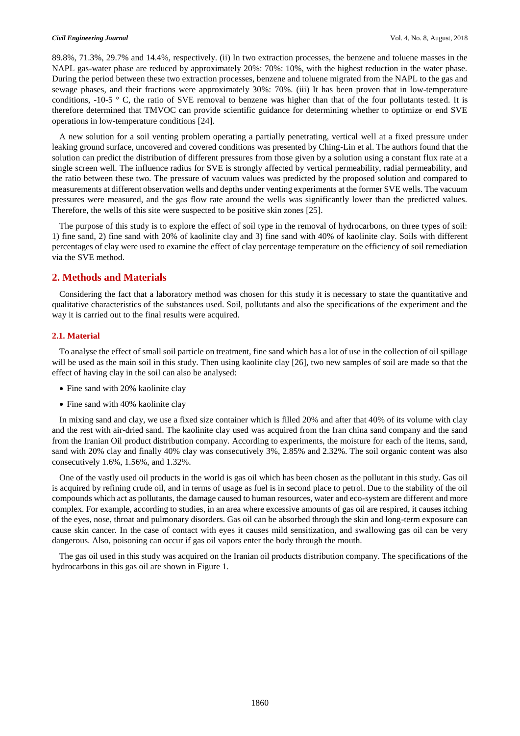89.8%, 71.3%, 29.7% and 14.4%, respectively. (ii) In two extraction processes, the benzene and toluene masses in the NAPL gas-water phase are reduced by approximately 20%: 70%: 10%, with the highest reduction in the water phase. During the period between these two extraction processes, benzene and toluene migrated from the NAPL to the gas and sewage phases, and their fractions were approximately 30%: 70%. (iii) It has been proven that in low-temperature conditions,  $-10-5$  ° C, the ratio of SVE removal to benzene was higher than that of the four pollutants tested. It is therefore determined that TMVOC can provide scientific guidance for determining whether to optimize or end SVE operations in low-temperature conditions [24].

A new solution for a soil venting problem operating a partially penetrating, vertical well at a fixed pressure under leaking ground surface, uncovered and covered conditions was presented by Ching-Lin et al. The authors found that the solution can predict the distribution of different pressures from those given by a solution using a constant flux rate at a single screen well. The influence radius for SVE is strongly affected by vertical permeability, radial permeability, and the ratio between these two. The pressure of vacuum values was predicted by the proposed solution and compared to measurements at different observation wells and depths under venting experiments at the former SVE wells. The vacuum pressures were measured, and the gas flow rate around the wells was significantly lower than the predicted values. Therefore, the wells of this site were suspected to be positive skin zones [25].

The purpose of this study is to explore the effect of soil type in the removal of hydrocarbons, on three types of soil: 1) fine sand, 2) fine sand with 20% of kaolinite clay and 3) fine sand with 40% of kaolinite clay. Soils with different percentages of clay were used to examine the effect of clay percentage temperature on the efficiency of soil remediation via the SVE method.

# **2. Methods and Materials**

Considering the fact that a laboratory method was chosen for this study it is necessary to state the quantitative and qualitative characteristics of the substances used. Soil, pollutants and also the specifications of the experiment and the way it is carried out to the final results were acquired.

#### **2.1. Material**

To analyse the effect of small soil particle on treatment, fine sand which has a lot of use in the collection of oil spillage will be used as the main soil in this study. Then using kaolinite clay [26], two new samples of soil are made so that the effect of having clay in the soil can also be analysed:

- Fine sand with 20% kaolinite clay
- Fine sand with 40% kaolinite clay

In mixing sand and clay, we use a fixed size container which is filled 20% and after that 40% of its volume with clay and the rest with air-dried sand. The kaolinite clay used was acquired from the Iran china sand company and the sand from the Iranian Oil product distribution company. According to experiments, the moisture for each of the items, sand, sand with 20% clay and finally 40% clay was consecutively 3%, 2.85% and 2.32%. The soil organic content was also consecutively 1.6%, 1.56%, and 1.32%.

One of the vastly used oil products in the world is gas oil which has been chosen as the pollutant in this study. Gas oil is acquired by refining crude oil, and in terms of usage as fuel is in second place to petrol. Due to the stability of the oil compounds which act as pollutants, the damage caused to human resources, water and eco-system are different and more complex. For example, according to studies, in an area where excessive amounts of gas oil are respired, it causes itching of the eyes, nose, throat and pulmonary disorders. Gas oil can be absorbed through the skin and long-term exposure can cause skin cancer. In the case of contact with eyes it causes mild sensitization, and swallowing gas oil can be very dangerous. Also, poisoning can occur if gas oil vapors enter the body through the mouth.

The gas oil used in this study was acquired on the Iranian oil products distribution company. The specifications of the hydrocarbons in this gas oil are shown in Figure 1.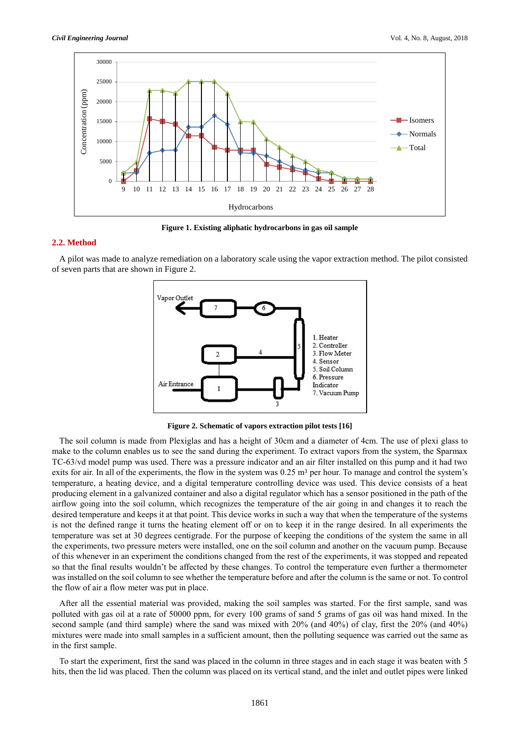

**Figure 1. Existing aliphatic hydrocarbons in gas oil sample**

# **2.2. Method**

A pilot was made to analyze remediation on a laboratory scale using the vapor extraction method. The pilot consisted of seven parts that are shown in Figure 2.



**Figure 2. Schematic of vapors extraction pilot tests [16]**

The soil column is made from Plexiglas and has a height of 30cm and a diameter of 4cm. The use of plexi glass to make to the column enables us to see the sand during the experiment. To extract vapors from the system, the Sparmax TC-63/vd model pump was used. There was a pressure indicator and an air filter installed on this pump and it had two exits for air. In all of the experiments, the flow in the system was  $0.25 \text{ m}^3$  per hour. To manage and control the system's temperature, a heating device, and a digital temperature controlling device was used. This device consists of a heat producing element in a galvanized container and also a digital regulator which has a sensor positioned in the path of the airflow going into the soil column, which recognizes the temperature of the air going in and changes it to reach the desired temperature and keeps it at that point. This device works in such a way that when the temperature of the systems is not the defined range it turns the heating element off or on to keep it in the range desired. In all experiments the temperature was set at 30 degrees centigrade. For the purpose of keeping the conditions of the system the same in all the experiments, two pressure meters were installed, one on the soil column and another on the vacuum pump. Because of this whenever in an experiment the conditions changed from the rest of the experiments, it was stopped and repeated so that the final results wouldn't be affected by these changes. To control the temperature even further a thermometer was installed on the soil column to see whether the temperature before and after the column is the same or not. To control the flow of air a flow meter was put in place.

After all the essential material was provided, making the soil samples was started. For the first sample, sand was polluted with gas oil at a rate of 50000 ppm, for every 100 grams of sand 5 grams of gas oil was hand mixed. In the second sample (and third sample) where the sand was mixed with 20% (and 40%) of clay, first the 20% (and 40%) mixtures were made into small samples in a sufficient amount, then the polluting sequence was carried out the same as in the first sample.

To start the experiment, first the sand was placed in the column in three stages and in each stage it was beaten with 5 hits, then the lid was placed. Then the column was placed on its vertical stand, and the inlet and outlet pipes were linked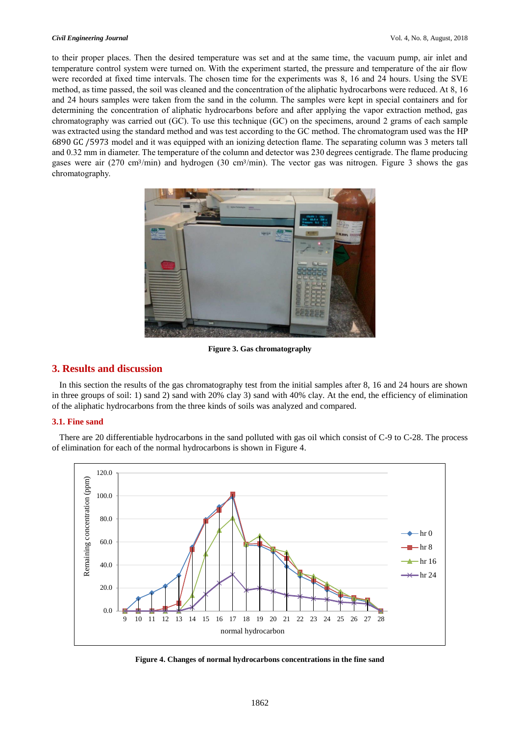to their proper places. Then the desired temperature was set and at the same time, the vacuum pump, air inlet and temperature control system were turned on. With the experiment started, the pressure and temperature of the air flow were recorded at fixed time intervals. The chosen time for the experiments was 8, 16 and 24 hours. Using the SVE method, as time passed, the soil was cleaned and the concentration of the aliphatic hydrocarbons were reduced. At 8, 16 and 24 hours samples were taken from the sand in the column. The samples were kept in special containers and for determining the concentration of aliphatic hydrocarbons before and after applying the vapor extraction method, gas chromatography was carried out (GC). To use this technique (GC) on the specimens, around 2 grams of each sample was extracted using the standard method and was test according to the GC method. The chromatogram used was the HP 6890 GC /5973 model and it was equipped with an ionizing detection flame. The separating column was 3 meters tall and 0.32 mm in diameter. The temperature of the column and detector was 230 degrees centigrade. The flame producing gases were air (270 cm3/min) and hydrogen (30 cm3/min). The vector gas was nitrogen. Figure 3 shows the gas chromatography.



**Figure 3. Gas chromatography** 

# **3. Results and discussion**

In this section the results of the gas chromatography test from the initial samples after 8, 16 and 24 hours are shown in three groups of soil: 1) sand 2) sand with 20% clay 3) sand with 40% clay. At the end, the efficiency of elimination of the aliphatic hydrocarbons from the three kinds of soils was analyzed and compared.

## **3.1. Fine sand**

There are 20 differentiable hydrocarbons in the sand polluted with gas oil which consist of C-9 to C-28. The process of elimination for each of the normal hydrocarbons is shown in Figure 4.



**Figure 4. Changes of normal hydrocarbons concentrations in the fine sand**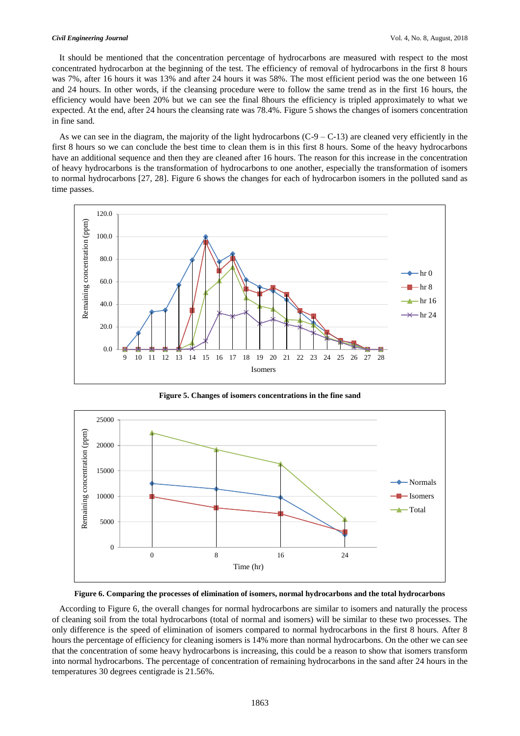It should be mentioned that the concentration percentage of hydrocarbons are measured with respect to the most concentrated hydrocarbon at the beginning of the test. The efficiency of removal of hydrocarbons in the first 8 hours was 7%, after 16 hours it was 13% and after 24 hours it was 58%. The most efficient period was the one between 16 and 24 hours. In other words, if the cleansing procedure were to follow the same trend as in the first 16 hours, the efficiency would have been 20% but we can see the final 8hours the efficiency is tripled approximately to what we expected. At the end, after 24 hours the cleansing rate was 78.4%. Figure 5 shows the changes of isomers concentration in fine sand.

As we can see in the diagram, the majority of the light hydrocarbons  $(C-9 - C-13)$  are cleaned very efficiently in the first 8 hours so we can conclude the best time to clean them is in this first 8 hours. Some of the heavy hydrocarbons have an additional sequence and then they are cleaned after 16 hours. The reason for this increase in the concentration of heavy hydrocarbons is the transformation of hydrocarbons to one another, especially the transformation of isomers to normal hydrocarbons [27, 28]. Figure 6 shows the changes for each of hydrocarbon isomers in the polluted sand as time passes.



**Figure 5. Changes of isomers concentrations in the fine sand**



**Figure 6. Comparing the processes of elimination of isomers, normal hydrocarbons and the total hydrocarbons**

According to Figure 6, the overall changes for normal hydrocarbons are similar to isomers and naturally the process of cleaning soil from the total hydrocarbons (total of normal and isomers) will be similar to these two processes. The only difference is the speed of elimination of isomers compared to normal hydrocarbons in the first 8 hours. After 8 hours the percentage of efficiency for cleaning isomers is 14% more than normal hydrocarbons. On the other we can see that the concentration of some heavy hydrocarbons is increasing, this could be a reason to show that isomers transform into normal hydrocarbons. The percentage of concentration of remaining hydrocarbons in the sand after 24 hours in the temperatures 30 degrees centigrade is 21.56%.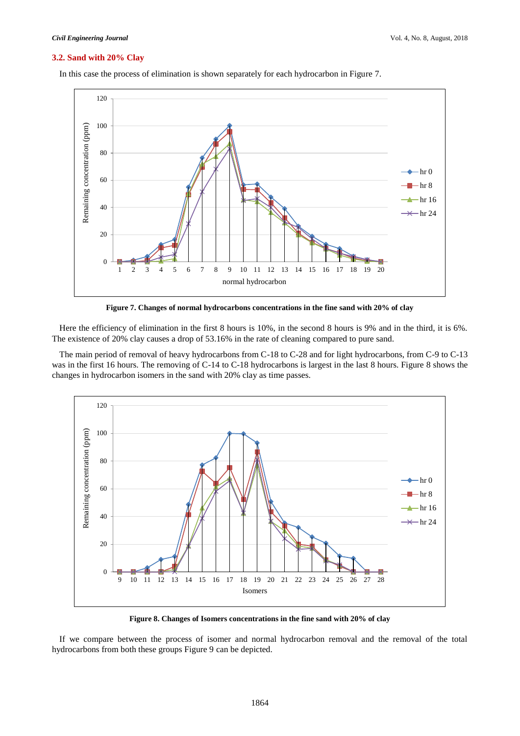#### **3.2. Sand with 20% Clay**



In this case the process of elimination is shown separately for each hydrocarbon in Figure 7.

**Figure 7. Changes of normal hydrocarbons concentrations in the fine sand with 20% of clay**

Here the efficiency of elimination in the first 8 hours is 10%, in the second 8 hours is 9% and in the third, it is 6%. The existence of 20% clay causes a drop of 53.16% in the rate of cleaning compared to pure sand.

The main period of removal of heavy hydrocarbons from C-18 to C-28 and for light hydrocarbons, from C-9 to C-13 was in the first 16 hours. The removing of C-14 to C-18 hydrocarbons is largest in the last 8 hours. Figure 8 shows the changes in hydrocarbon isomers in the sand with 20% clay as time passes.



**Figure 8. Changes of Isomers concentrations in the fine sand with 20% of clay**

If we compare between the process of isomer and normal hydrocarbon removal and the removal of the total hydrocarbons from both these groups Figure 9 can be depicted.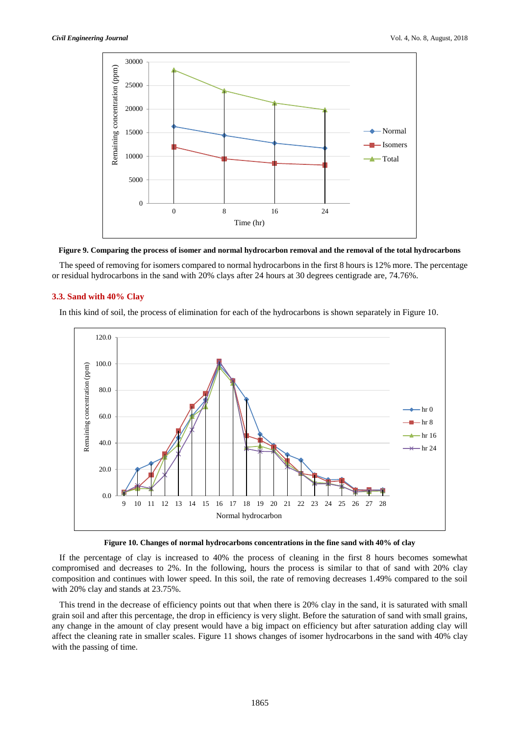

**Figure 9. Comparing the process of isomer and normal hydrocarbon removal and the removal of the total hydrocarbons**

The speed of removing for isomers compared to normal hydrocarbons in the first 8 hours is 12% more. The percentage or residual hydrocarbons in the sand with 20% clays after 24 hours at 30 degrees centigrade are, 74.76%.

## **3.3. Sand with 40% Clay**

In this kind of soil, the process of elimination for each of the hydrocarbons is shown separately in Figure 10.





If the percentage of clay is increased to 40% the process of cleaning in the first 8 hours becomes somewhat compromised and decreases to 2%. In the following, hours the process is similar to that of sand with 20% clay composition and continues with lower speed. In this soil, the rate of removing decreases 1.49% compared to the soil with 20% clay and stands at 23.75%.

This trend in the decrease of efficiency points out that when there is 20% clay in the sand, it is saturated with small grain soil and after this percentage, the drop in efficiency is very slight. Before the saturation of sand with small grains, any change in the amount of clay present would have a big impact on efficiency but after saturation adding clay will affect the cleaning rate in smaller scales. Figure 11 shows changes of isomer hydrocarbons in the sand with 40% clay with the passing of time.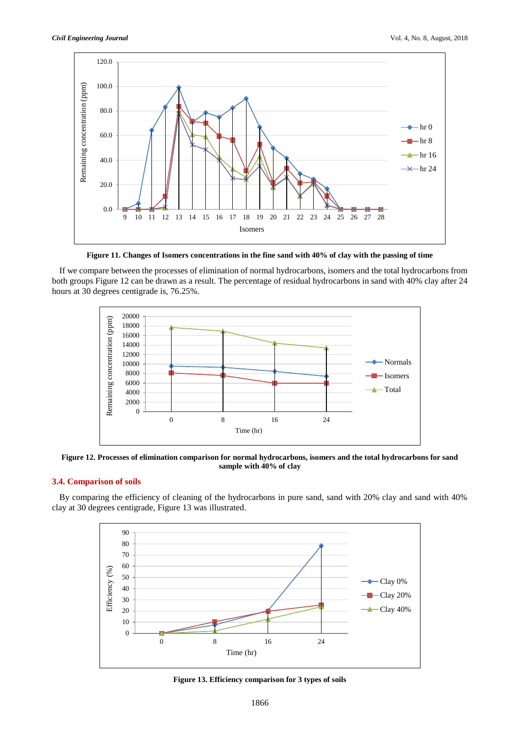

**Figure 11. Changes of Isomers concentrations in the fine sand with 40% of clay with the passing of time**

If we compare between the processes of elimination of normal hydrocarbons, isomers and the total hydrocarbons from both groups Figure 12 can be drawn as a result. The percentage of residual hydrocarbons in sand with 40% clay after 24 hours at 30 degrees centigrade is, 76.25%.



**Figure 12. Processes of elimination comparison for normal hydrocarbons, isomers and the total hydrocarbons for sand sample with 40% of clay**

# **3.4. Comparison of soils**

By comparing the efficiency of cleaning of the hydrocarbons in pure sand, sand with 20% clay and sand with 40% clay at 30 degrees centigrade, Figure 13 was illustrated.



**Figure 13. Efficiency comparison for 3 types of soils**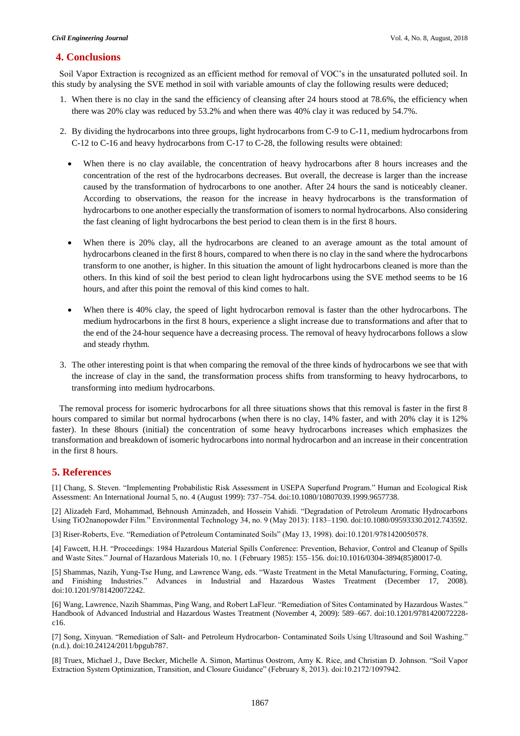# **4. Conclusions**

Soil Vapor Extraction is recognized as an efficient method for removal of VOC's in the unsaturated polluted soil. In this study by analysing the SVE method in soil with variable amounts of clay the following results were deduced;

- 1. When there is no clay in the sand the efficiency of cleansing after 24 hours stood at 78.6%, the efficiency when there was 20% clay was reduced by 53.2% and when there was 40% clay it was reduced by 54.7%.
- 2. By dividing the hydrocarbons into three groups, light hydrocarbons from C-9 to C-11, medium hydrocarbons from C-12 to C-16 and heavy hydrocarbons from C-17 to C-28, the following results were obtained:
	- When there is no clay available, the concentration of heavy hydrocarbons after 8 hours increases and the concentration of the rest of the hydrocarbons decreases. But overall, the decrease is larger than the increase caused by the transformation of hydrocarbons to one another. After 24 hours the sand is noticeably cleaner. According to observations, the reason for the increase in heavy hydrocarbons is the transformation of hydrocarbons to one another especially the transformation of isomers to normal hydrocarbons. Also considering the fast cleaning of light hydrocarbons the best period to clean them is in the first 8 hours.
	- When there is 20% clay, all the hydrocarbons are cleaned to an average amount as the total amount of hydrocarbons cleaned in the first 8 hours, compared to when there is no clay in the sand where the hydrocarbons transform to one another, is higher. In this situation the amount of light hydrocarbons cleaned is more than the others. In this kind of soil the best period to clean light hydrocarbons using the SVE method seems to be 16 hours, and after this point the removal of this kind comes to halt.
	- When there is 40% clay, the speed of light hydrocarbon removal is faster than the other hydrocarbons. The medium hydrocarbons in the first 8 hours, experience a slight increase due to transformations and after that to the end of the 24-hour sequence have a decreasing process. The removal of heavy hydrocarbons follows a slow and steady rhythm.
- 3. The other interesting point is that when comparing the removal of the three kinds of hydrocarbons we see that with the increase of clay in the sand, the transformation process shifts from transforming to heavy hydrocarbons, to transforming into medium hydrocarbons.

The removal process for isomeric hydrocarbons for all three situations shows that this removal is faster in the first 8 hours compared to similar but normal hydrocarbons (when there is no clay, 14% faster, and with 20% clay it is 12% faster). In these 8hours (initial) the concentration of some heavy hydrocarbons increases which emphasizes the transformation and breakdown of isomeric hydrocarbons into normal hydrocarbon and an increase in their concentration in the first 8 hours.

# **5. References**

[1] Chang, S. Steven. "Implementing Probabilistic Risk Assessment in USEPA Superfund Program." Human and Ecological Risk Assessment: An International Journal 5, no. 4 (August 1999): 737–754. doi:10.1080/10807039.1999.9657738.

[2] Alizadeh Fard, Mohammad, Behnoush Aminzadeh, and Hossein Vahidi. "Degradation of Petroleum Aromatic Hydrocarbons Using TiO2nanopowder Film." Environmental Technology 34, no. 9 (May 2013): 1183–1190. doi:10.1080/09593330.2012.743592.

[3] Riser-Roberts, Eve. "Remediation of Petroleum Contaminated Soils" (May 13, 1998). doi:10.1201/9781420050578.

[4] Fawcett, H.H. "Proceedings: 1984 Hazardous Material Spills Conference: Prevention, Behavior, Control and Cleanup of Spills and Waste Sites." Journal of Hazardous Materials 10, no. 1 (February 1985): 155–156. doi:10.1016/0304-3894(85)80017-0.

[5] Shammas, Nazih, Yung-Tse Hung, and Lawrence Wang, eds. "Waste Treatment in the Metal Manufacturing, Forming, Coating, and Finishing Industries." Advances in Industrial and Hazardous Wastes Treatment (December 17, 2008). doi:10.1201/9781420072242.

[6] Wang, Lawrence, Nazih Shammas, Ping Wang, and Robert LaFleur. "Remediation of Sites Contaminated by Hazardous Wastes." Handbook of Advanced Industrial and Hazardous Wastes Treatment (November 4, 2009): 589–667. doi:10.1201/9781420072228 c16.

[7] Song, Xinyuan. "Remediation of Salt- and Petroleum Hydrocarbon- Contaminated Soils Using Ultrasound and Soil Washing." (n.d.). doi:10.24124/2011/bpgub787.

[8] Truex, Michael J., Dave Becker, Michelle A. Simon, Martinus Oostrom, Amy K. Rice, and Christian D. Johnson. "Soil Vapor Extraction System Optimization, Transition, and Closure Guidance" (February 8, 2013). doi:10.2172/1097942.